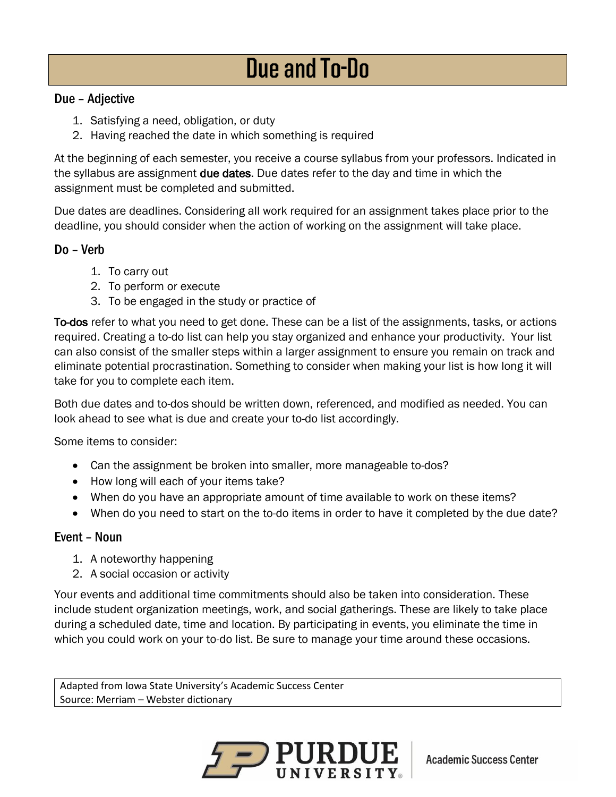## **Due and To-Do**

## Due – Adjective

- 1. Satisfying a need, obligation, or duty
- 2. Having reached the date in which something is required

At the beginning of each semester, you receive a course syllabus from your professors. Indicated in the syllabus are assignment **due dates**. Due dates refer to the day and time in which the assignment must be completed and submitted.

Due dates are deadlines. Considering all work required for an assignment takes place prior to the deadline, you should consider when the action of working on the assignment will take place.

## Do – Verb

- 1. To carry out
- 2. To perform or execute
- 3. To be engaged in the study or practice of

To-dos refer to what you need to get done. These can be a list of the assignments, tasks, or actions required. Creating a to-do list can help you stay organized and enhance your productivity. Your list can also consist of the smaller steps within a larger assignment to ensure you remain on track and eliminate potential procrastination. Something to consider when making your list is how long it will take for you to complete each item.

Both due dates and to-dos should be written down, referenced, and modified as needed. You can look ahead to see what is due and create your to-do list accordingly.

Some items to consider:

- Can the assignment be broken into smaller, more manageable to-dos?
- How long will each of your items take?
- When do you have an appropriate amount of time available to work on these items?
- When do you need to start on the to-do items in order to have it completed by the due date?

## Event – Noun

- 1. A noteworthy happening
- 2. A social occasion or activity

Your events and additional time commitments should also be taken into consideration. These include student organization meetings, work, and social gatherings. These are likely to take place during a scheduled date, time and location. By participating in events, you eliminate the time in which you could work on your to-do list. Be sure to manage your time around these occasions.

Adapted from Iowa State University's Academic Success Center Source: Merriam – Webster dictionary



**Academic Success Center**